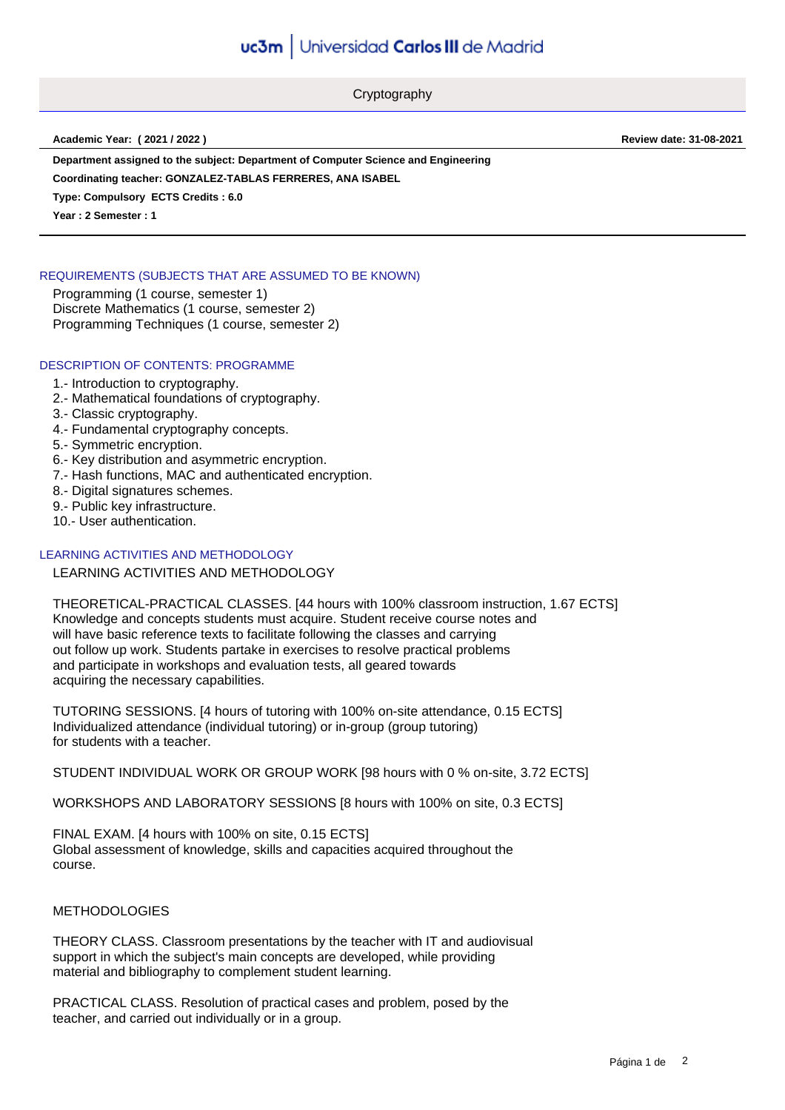Cryptography

**Academic Year: ( 2021 / 2022 ) Review date: 31-08-2021**

**Department assigned to the subject: Department of Computer Science and Engineering**

**Coordinating teacher: GONZALEZ-TABLAS FERRERES, ANA ISABEL**

**Type: Compulsory ECTS Credits : 6.0**

**Year : 2 Semester : 1**

## REQUIREMENTS (SUBJECTS THAT ARE ASSUMED TO BE KNOWN)

Programming (1 course, semester 1) Discrete Mathematics (1 course, semester 2) Programming Techniques (1 course, semester 2)

#### DESCRIPTION OF CONTENTS: PROGRAMME

- 1.- Introduction to cryptography.
- 2.- Mathematical foundations of cryptography.
- 3.- Classic cryptography.
- 4.- Fundamental cryptography concepts.
- 5.- Symmetric encryption.
- 6.- Key distribution and asymmetric encryption.
- 7.- Hash functions, MAC and authenticated encryption.
- 8.- Digital signatures schemes.
- 9.- Public key infrastructure.
- 10.- User authentication.

## LEARNING ACTIVITIES AND METHODOLOGY

#### LEARNING ACTIVITIES AND METHODOLOGY

THEORETICAL-PRACTICAL CLASSES. [44 hours with 100% classroom instruction, 1.67 ECTS] Knowledge and concepts students must acquire. Student receive course notes and will have basic reference texts to facilitate following the classes and carrying out follow up work. Students partake in exercises to resolve practical problems and participate in workshops and evaluation tests, all geared towards acquiring the necessary capabilities.

TUTORING SESSIONS. [4 hours of tutoring with 100% on-site attendance, 0.15 ECTS] Individualized attendance (individual tutoring) or in-group (group tutoring) for students with a teacher.

STUDENT INDIVIDUAL WORK OR GROUP WORK [98 hours with 0 % on-site, 3.72 ECTS]

WORKSHOPS AND LABORATORY SESSIONS [8 hours with 100% on site, 0.3 ECTS]

FINAL EXAM. [4 hours with 100% on site, 0.15 ECTS] Global assessment of knowledge, skills and capacities acquired throughout the course.

#### METHODOLOGIES

THEORY CLASS. Classroom presentations by the teacher with IT and audiovisual support in which the subject's main concepts are developed, while providing material and bibliography to complement student learning.

PRACTICAL CLASS. Resolution of practical cases and problem, posed by the teacher, and carried out individually or in a group.